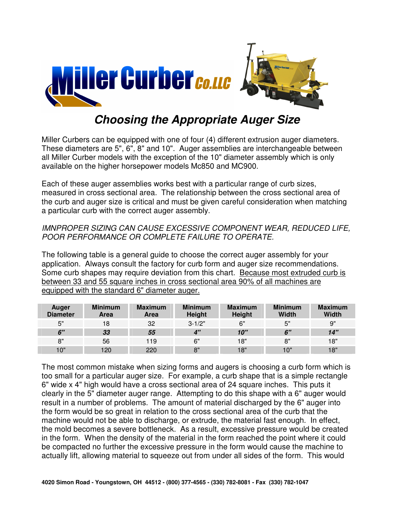

## **Choosing the Appropriate Auger Size**

Miller Curbers can be equipped with one of four (4) different extrusion auger diameters. These diameters are 5", 6", 8" and 10". Auger assemblies are interchangeable between all Miller Curber models with the exception of the 10" diameter assembly which is only available on the higher horsepower models Mc850 and MC900.

Each of these auger assemblies works best with a particular range of curb sizes, measured in cross sectional area. The relationship between the cross sectional area of the curb and auger size is critical and must be given careful consideration when matching a particular curb with the correct auger assembly.

## IMNPROPER SIZING CAN CAUSE EXCESSIVE COMPONENT WEAR, REDUCED LIFE, POOR PERFORMANCE OR COMPLETE FAILURE TO OPERATE.

The following table is a general guide to choose the correct auger assembly for your application. Always consult the factory for curb form and auger size recommendations. Some curb shapes may require deviation from this chart. Because most extruded curb is between 33 and 55 square inches in cross sectional area 90% of all machines are equipped with the standard 6" diameter auger.

| Auger<br><b>Diameter</b> | <b>Minimum</b><br>Area | <b>Maximum</b><br>Area | <b>Minimum</b><br><b>Height</b> | <b>Maximum</b><br>Height | <b>Minimum</b><br>Width | <b>Maximum</b><br>Width |
|--------------------------|------------------------|------------------------|---------------------------------|--------------------------|-------------------------|-------------------------|
| 5"                       | 18                     | 32                     | $3 - 1/2"$                      | 6"                       | 5"                      | 9"                      |
| 6"                       | 33                     | 55                     | $\mathbf{A}$                    | 10"                      | 6"                      | 14"                     |
| 8"                       | 56                     | 119                    | 6"                              | 18"                      | 8"                      | 18"                     |
| 10"                      | 120                    | 220                    | 8"                              | 18"                      | 10"                     | 18"                     |

The most common mistake when sizing forms and augers is choosing a curb form which is too small for a particular auger size. For example, a curb shape that is a simple rectangle 6" wide x 4" high would have a cross sectional area of 24 square inches. This puts it clearly in the 5" diameter auger range. Attempting to do this shape with a 6" auger would result in a number of problems. The amount of material discharged by the 6" auger into the form would be so great in relation to the cross sectional area of the curb that the machine would not be able to discharge, or extrude, the material fast enough. In effect, the mold becomes a severe bottleneck. As a result, excessive pressure would be created in the form. When the density of the material in the form reached the point where it could be compacted no further the excessive pressure in the form would cause the machine to actually lift, allowing material to squeeze out from under all sides of the form. This would